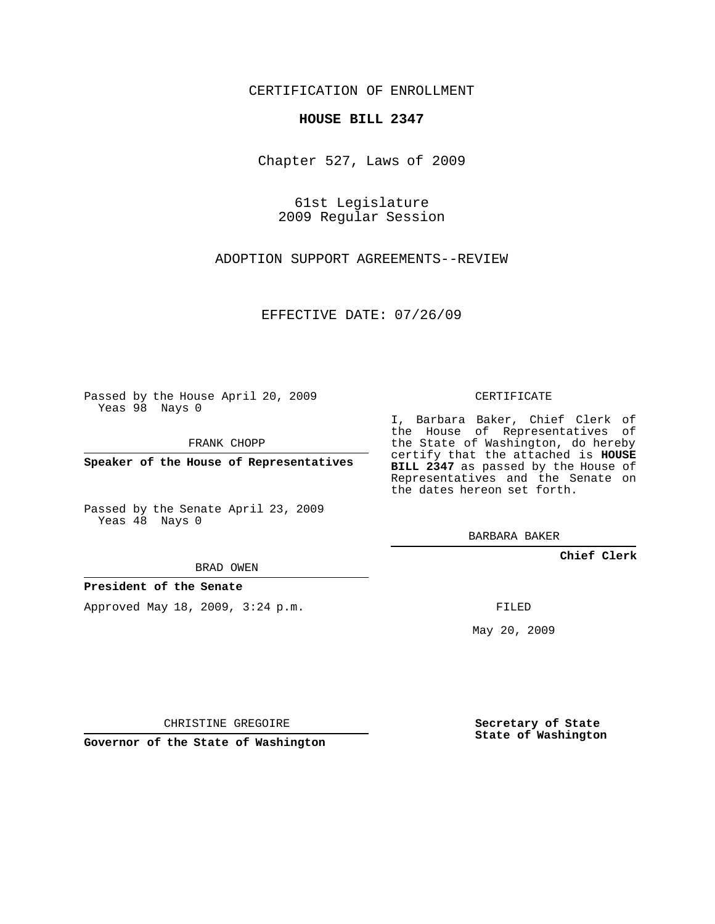CERTIFICATION OF ENROLLMENT

## **HOUSE BILL 2347**

Chapter 527, Laws of 2009

61st Legislature 2009 Regular Session

ADOPTION SUPPORT AGREEMENTS--REVIEW

EFFECTIVE DATE: 07/26/09

Passed by the House April 20, 2009 Yeas 98 Nays 0

FRANK CHOPP

**Speaker of the House of Representatives**

Passed by the Senate April 23, 2009 Yeas 48 Nays 0

I, Barbara Baker, Chief Clerk of the House of Representatives of the State of Washington, do hereby certify that the attached is **HOUSE BILL 2347** as passed by the House of Representatives and the Senate on the dates hereon set forth.

BARBARA BAKER

**Chief Clerk**

**President of the Senate**

Approved May 18, 2009, 3:24 p.m.

FILED

May 20, 2009

**Secretary of State State of Washington**

CHRISTINE GREGOIRE

**Governor of the State of Washington**

CERTIFICATE

BRAD OWEN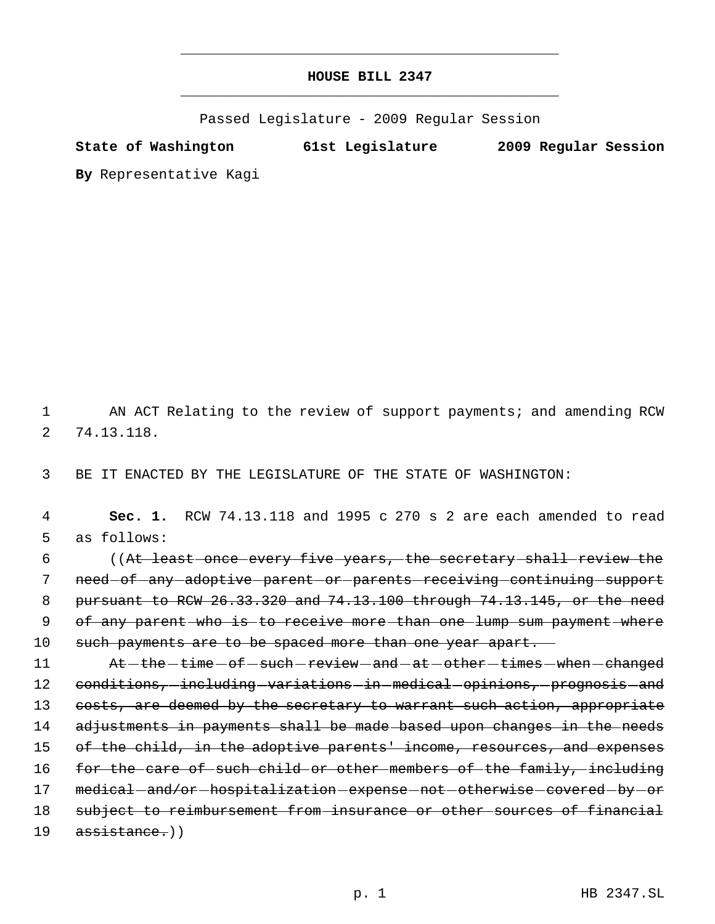## **HOUSE BILL 2347** \_\_\_\_\_\_\_\_\_\_\_\_\_\_\_\_\_\_\_\_\_\_\_\_\_\_\_\_\_\_\_\_\_\_\_\_\_\_\_\_\_\_\_\_\_

\_\_\_\_\_\_\_\_\_\_\_\_\_\_\_\_\_\_\_\_\_\_\_\_\_\_\_\_\_\_\_\_\_\_\_\_\_\_\_\_\_\_\_\_\_

Passed Legislature - 2009 Regular Session

**State of Washington 61st Legislature 2009 Regular Session**

**By** Representative Kagi

1 AN ACT Relating to the review of support payments; and amending RCW 2 74.13.118.

3 BE IT ENACTED BY THE LEGISLATURE OF THE STATE OF WASHINGTON:

 4 **Sec. 1.** RCW 74.13.118 and 1995 c 270 s 2 are each amended to read 5 as follows: 6 ((At least once every five years, the secretary shall review the 7 need-of-any-adoptive-parent-or-parents-receiving-continuing-support 8 pursuant to RCW 26.33.320 and 74.13.100 through 74.13.145, or the need 9 of any parent who is to receive more than one lump sum payment where 10 such payments are to be spaced more than one year apart.

11 At - the - time - of - such - review - and - at - other - times - when - changed 12 conditions, including variations in medical opinions, prognosis and 13 costs, are deemed by the secretary to warrant such action, appropriate 14 adjustments in payments shall be made based upon changes in the needs 15 of the child, in the adoptive parents' income, resources, and expenses 16 for the care of such child or other members of the family, including 17 medical-and/or-hospitalization-expense-not-otherwise-covered-by-or 18 subject to reimbursement from insurance or other sources of financial 19 assistance.))